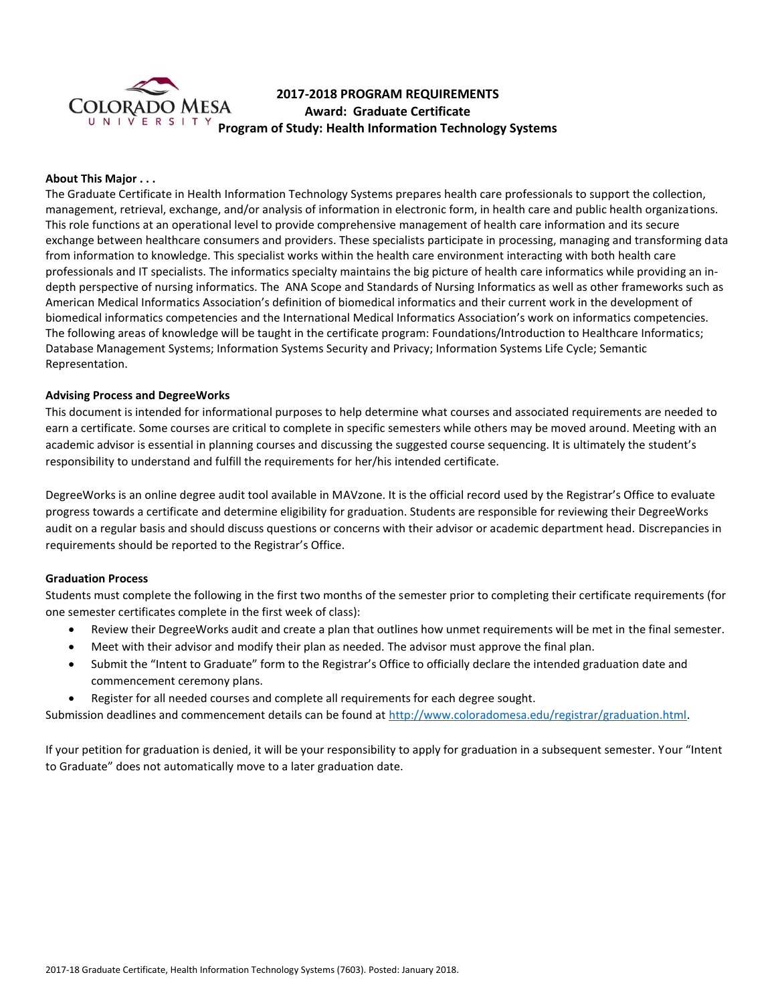

# **2017-2018 PROGRAM REQUIREMENTS Award: Graduate Certificate Program of Study: Health Information Technology Systems**

## **About This Major . . .**

The Graduate Certificate in Health Information Technology Systems prepares health care professionals to support the collection, management, retrieval, exchange, and/or analysis of information in electronic form, in health care and public health organizations. This role functions at an operational level to provide comprehensive management of health care information and its secure exchange between healthcare consumers and providers. These specialists participate in processing, managing and transforming data from information to knowledge. This specialist works within the health care environment interacting with both health care professionals and IT specialists. The informatics specialty maintains the big picture of health care informatics while providing an indepth perspective of nursing informatics. The ANA Scope and Standards of Nursing Informatics as well as other frameworks such as American Medical Informatics Association's definition of biomedical informatics and their current work in the development of biomedical informatics competencies and the International Medical Informatics Association's work on informatics competencies. The following areas of knowledge will be taught in the certificate program: Foundations/Introduction to Healthcare Informatics; Database Management Systems; Information Systems Security and Privacy; Information Systems Life Cycle; Semantic Representation.

## **Advising Process and DegreeWorks**

This document is intended for informational purposes to help determine what courses and associated requirements are needed to earn a certificate. Some courses are critical to complete in specific semesters while others may be moved around. Meeting with an academic advisor is essential in planning courses and discussing the suggested course sequencing. It is ultimately the student's responsibility to understand and fulfill the requirements for her/his intended certificate.

DegreeWorks is an online degree audit tool available in MAVzone. It is the official record used by the Registrar's Office to evaluate progress towards a certificate and determine eligibility for graduation. Students are responsible for reviewing their DegreeWorks audit on a regular basis and should discuss questions or concerns with their advisor or academic department head. Discrepancies in requirements should be reported to the Registrar's Office.

#### **Graduation Process**

Students must complete the following in the first two months of the semester prior to completing their certificate requirements (for one semester certificates complete in the first week of class):

- Review their DegreeWorks audit and create a plan that outlines how unmet requirements will be met in the final semester.
- Meet with their advisor and modify their plan as needed. The advisor must approve the final plan.
- Submit the "Intent to Graduate" form to the Registrar's Office to officially declare the intended graduation date and commencement ceremony plans.
- Register for all needed courses and complete all requirements for each degree sought.

Submission deadlines and commencement details can be found at [http://www.coloradomesa.edu/registrar/graduation.html.](http://www.coloradomesa.edu/registrar/graduation.html)

If your petition for graduation is denied, it will be your responsibility to apply for graduation in a subsequent semester. Your "Intent to Graduate" does not automatically move to a later graduation date.